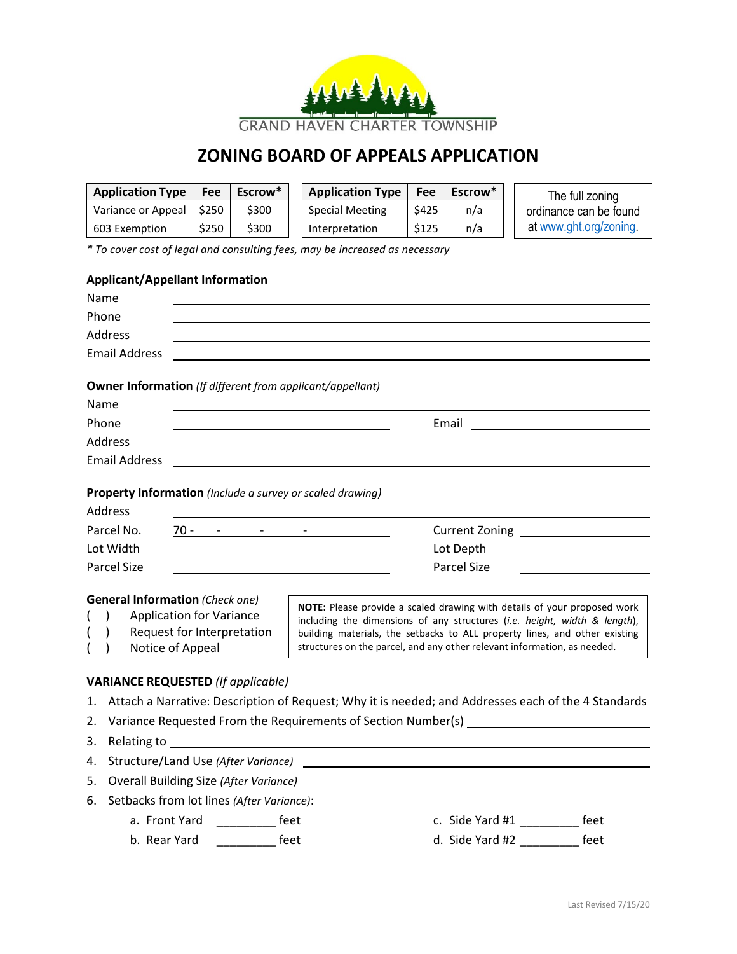

## **ZONING BOARD OF APPEALS APPLICATION**

| \$250<br>Variance or Appeal<br>\$300<br><b>Special Meeting</b><br>\$425<br>n/a<br>ordinance can be found<br>at www.ght.org/zoning.<br>\$250<br>\$300<br>603 Exemption<br>Interpretation<br>\$125<br>n/a<br>* To cover cost of legal and consulting fees, may be increased as necessary<br><b>Applicant/Appellant Information</b><br>Name<br>Phone<br>Address<br><b>Email Address</b><br><u> 1989 - Johann Johann Stoff, deutscher Stoff in der Stoff in der Stoff in der Stoff in der Stoff in der Stoff</u><br><b>Owner Information</b> (If different from applicant/appellant)<br>Name<br>Phone<br>Email <u>_______________</u><br>Address<br><b>Email Address</b><br>Property Information (Include a survey or scaled drawing)<br>Address<br>Parcel No.<br>$70 - 2 - 2 - 2$<br>Current Zoning _____________________<br>Lot Width<br>Lot Depth<br><b>Parcel Size</b><br><b>Parcel Size</b><br><b>General Information (Check one)</b><br>NOTE: Please provide a scaled drawing with details of your proposed work<br><b>Application for Variance</b><br>$\lambda$<br>including the dimensions of any structures (i.e. height, width & length),<br>Request for Interpretation<br>)<br>building materials, the setbacks to ALL property lines, and other existing<br>structures on the parcel, and any other relevant information, as needed.<br>Notice of Appeal<br><b>VARIANCE REQUESTED (If applicable)</b><br>1. Attach a Narrative: Description of Request; Why it is needed; and Addresses each of the 4 Standards<br>2. Variance Requested From the Requirements of Section Number(s) _________<br>Relating to<br>3.<br><u> 1980 - Johann Stoff, deutscher Stoffen und der Stoffen und der Stoffen und der Stoffen und der Stoffen und der</u><br>Structure/Land Use (After Variance)<br>4.<br><b>Overall Building Size (After Variance)</b><br>5.<br><u> 1989 - Johann Barbara, markazi bashkar a shekara ta 1989 - André a shekara ta 1989 - André a shekara ta 198</u><br>Setbacks from lot lines (After Variance):<br>6.<br>a. Front Yard<br>$f$ eet<br>c. Side Yard #1<br>feet | <b>Application Type</b> | Fee | Escrow* |  | <b>Application Type</b> | Fee | Escrow* |  | The full zoning |  |
|-------------------------------------------------------------------------------------------------------------------------------------------------------------------------------------------------------------------------------------------------------------------------------------------------------------------------------------------------------------------------------------------------------------------------------------------------------------------------------------------------------------------------------------------------------------------------------------------------------------------------------------------------------------------------------------------------------------------------------------------------------------------------------------------------------------------------------------------------------------------------------------------------------------------------------------------------------------------------------------------------------------------------------------------------------------------------------------------------------------------------------------------------------------------------------------------------------------------------------------------------------------------------------------------------------------------------------------------------------------------------------------------------------------------------------------------------------------------------------------------------------------------------------------------------------------------------------------------------------------------------------------------------------------------------------------------------------------------------------------------------------------------------------------------------------------------------------------------------------------------------------------------------------------------------------------------------------------------------------------------------------------------------------------------------------------------------------------------|-------------------------|-----|---------|--|-------------------------|-----|---------|--|-----------------|--|
|                                                                                                                                                                                                                                                                                                                                                                                                                                                                                                                                                                                                                                                                                                                                                                                                                                                                                                                                                                                                                                                                                                                                                                                                                                                                                                                                                                                                                                                                                                                                                                                                                                                                                                                                                                                                                                                                                                                                                                                                                                                                                           |                         |     |         |  |                         |     |         |  |                 |  |
|                                                                                                                                                                                                                                                                                                                                                                                                                                                                                                                                                                                                                                                                                                                                                                                                                                                                                                                                                                                                                                                                                                                                                                                                                                                                                                                                                                                                                                                                                                                                                                                                                                                                                                                                                                                                                                                                                                                                                                                                                                                                                           |                         |     |         |  |                         |     |         |  |                 |  |
|                                                                                                                                                                                                                                                                                                                                                                                                                                                                                                                                                                                                                                                                                                                                                                                                                                                                                                                                                                                                                                                                                                                                                                                                                                                                                                                                                                                                                                                                                                                                                                                                                                                                                                                                                                                                                                                                                                                                                                                                                                                                                           |                         |     |         |  |                         |     |         |  |                 |  |
|                                                                                                                                                                                                                                                                                                                                                                                                                                                                                                                                                                                                                                                                                                                                                                                                                                                                                                                                                                                                                                                                                                                                                                                                                                                                                                                                                                                                                                                                                                                                                                                                                                                                                                                                                                                                                                                                                                                                                                                                                                                                                           |                         |     |         |  |                         |     |         |  |                 |  |
|                                                                                                                                                                                                                                                                                                                                                                                                                                                                                                                                                                                                                                                                                                                                                                                                                                                                                                                                                                                                                                                                                                                                                                                                                                                                                                                                                                                                                                                                                                                                                                                                                                                                                                                                                                                                                                                                                                                                                                                                                                                                                           |                         |     |         |  |                         |     |         |  |                 |  |
|                                                                                                                                                                                                                                                                                                                                                                                                                                                                                                                                                                                                                                                                                                                                                                                                                                                                                                                                                                                                                                                                                                                                                                                                                                                                                                                                                                                                                                                                                                                                                                                                                                                                                                                                                                                                                                                                                                                                                                                                                                                                                           |                         |     |         |  |                         |     |         |  |                 |  |
|                                                                                                                                                                                                                                                                                                                                                                                                                                                                                                                                                                                                                                                                                                                                                                                                                                                                                                                                                                                                                                                                                                                                                                                                                                                                                                                                                                                                                                                                                                                                                                                                                                                                                                                                                                                                                                                                                                                                                                                                                                                                                           |                         |     |         |  |                         |     |         |  |                 |  |
|                                                                                                                                                                                                                                                                                                                                                                                                                                                                                                                                                                                                                                                                                                                                                                                                                                                                                                                                                                                                                                                                                                                                                                                                                                                                                                                                                                                                                                                                                                                                                                                                                                                                                                                                                                                                                                                                                                                                                                                                                                                                                           |                         |     |         |  |                         |     |         |  |                 |  |
|                                                                                                                                                                                                                                                                                                                                                                                                                                                                                                                                                                                                                                                                                                                                                                                                                                                                                                                                                                                                                                                                                                                                                                                                                                                                                                                                                                                                                                                                                                                                                                                                                                                                                                                                                                                                                                                                                                                                                                                                                                                                                           |                         |     |         |  |                         |     |         |  |                 |  |
|                                                                                                                                                                                                                                                                                                                                                                                                                                                                                                                                                                                                                                                                                                                                                                                                                                                                                                                                                                                                                                                                                                                                                                                                                                                                                                                                                                                                                                                                                                                                                                                                                                                                                                                                                                                                                                                                                                                                                                                                                                                                                           |                         |     |         |  |                         |     |         |  |                 |  |
|                                                                                                                                                                                                                                                                                                                                                                                                                                                                                                                                                                                                                                                                                                                                                                                                                                                                                                                                                                                                                                                                                                                                                                                                                                                                                                                                                                                                                                                                                                                                                                                                                                                                                                                                                                                                                                                                                                                                                                                                                                                                                           |                         |     |         |  |                         |     |         |  |                 |  |
|                                                                                                                                                                                                                                                                                                                                                                                                                                                                                                                                                                                                                                                                                                                                                                                                                                                                                                                                                                                                                                                                                                                                                                                                                                                                                                                                                                                                                                                                                                                                                                                                                                                                                                                                                                                                                                                                                                                                                                                                                                                                                           |                         |     |         |  |                         |     |         |  |                 |  |
|                                                                                                                                                                                                                                                                                                                                                                                                                                                                                                                                                                                                                                                                                                                                                                                                                                                                                                                                                                                                                                                                                                                                                                                                                                                                                                                                                                                                                                                                                                                                                                                                                                                                                                                                                                                                                                                                                                                                                                                                                                                                                           |                         |     |         |  |                         |     |         |  |                 |  |
|                                                                                                                                                                                                                                                                                                                                                                                                                                                                                                                                                                                                                                                                                                                                                                                                                                                                                                                                                                                                                                                                                                                                                                                                                                                                                                                                                                                                                                                                                                                                                                                                                                                                                                                                                                                                                                                                                                                                                                                                                                                                                           |                         |     |         |  |                         |     |         |  |                 |  |
|                                                                                                                                                                                                                                                                                                                                                                                                                                                                                                                                                                                                                                                                                                                                                                                                                                                                                                                                                                                                                                                                                                                                                                                                                                                                                                                                                                                                                                                                                                                                                                                                                                                                                                                                                                                                                                                                                                                                                                                                                                                                                           |                         |     |         |  |                         |     |         |  |                 |  |
|                                                                                                                                                                                                                                                                                                                                                                                                                                                                                                                                                                                                                                                                                                                                                                                                                                                                                                                                                                                                                                                                                                                                                                                                                                                                                                                                                                                                                                                                                                                                                                                                                                                                                                                                                                                                                                                                                                                                                                                                                                                                                           |                         |     |         |  |                         |     |         |  |                 |  |
|                                                                                                                                                                                                                                                                                                                                                                                                                                                                                                                                                                                                                                                                                                                                                                                                                                                                                                                                                                                                                                                                                                                                                                                                                                                                                                                                                                                                                                                                                                                                                                                                                                                                                                                                                                                                                                                                                                                                                                                                                                                                                           |                         |     |         |  |                         |     |         |  |                 |  |
|                                                                                                                                                                                                                                                                                                                                                                                                                                                                                                                                                                                                                                                                                                                                                                                                                                                                                                                                                                                                                                                                                                                                                                                                                                                                                                                                                                                                                                                                                                                                                                                                                                                                                                                                                                                                                                                                                                                                                                                                                                                                                           |                         |     |         |  |                         |     |         |  |                 |  |
|                                                                                                                                                                                                                                                                                                                                                                                                                                                                                                                                                                                                                                                                                                                                                                                                                                                                                                                                                                                                                                                                                                                                                                                                                                                                                                                                                                                                                                                                                                                                                                                                                                                                                                                                                                                                                                                                                                                                                                                                                                                                                           |                         |     |         |  |                         |     |         |  |                 |  |
|                                                                                                                                                                                                                                                                                                                                                                                                                                                                                                                                                                                                                                                                                                                                                                                                                                                                                                                                                                                                                                                                                                                                                                                                                                                                                                                                                                                                                                                                                                                                                                                                                                                                                                                                                                                                                                                                                                                                                                                                                                                                                           |                         |     |         |  |                         |     |         |  |                 |  |
|                                                                                                                                                                                                                                                                                                                                                                                                                                                                                                                                                                                                                                                                                                                                                                                                                                                                                                                                                                                                                                                                                                                                                                                                                                                                                                                                                                                                                                                                                                                                                                                                                                                                                                                                                                                                                                                                                                                                                                                                                                                                                           |                         |     |         |  |                         |     |         |  |                 |  |
|                                                                                                                                                                                                                                                                                                                                                                                                                                                                                                                                                                                                                                                                                                                                                                                                                                                                                                                                                                                                                                                                                                                                                                                                                                                                                                                                                                                                                                                                                                                                                                                                                                                                                                                                                                                                                                                                                                                                                                                                                                                                                           |                         |     |         |  |                         |     |         |  |                 |  |
|                                                                                                                                                                                                                                                                                                                                                                                                                                                                                                                                                                                                                                                                                                                                                                                                                                                                                                                                                                                                                                                                                                                                                                                                                                                                                                                                                                                                                                                                                                                                                                                                                                                                                                                                                                                                                                                                                                                                                                                                                                                                                           |                         |     |         |  |                         |     |         |  |                 |  |
|                                                                                                                                                                                                                                                                                                                                                                                                                                                                                                                                                                                                                                                                                                                                                                                                                                                                                                                                                                                                                                                                                                                                                                                                                                                                                                                                                                                                                                                                                                                                                                                                                                                                                                                                                                                                                                                                                                                                                                                                                                                                                           |                         |     |         |  |                         |     |         |  |                 |  |
|                                                                                                                                                                                                                                                                                                                                                                                                                                                                                                                                                                                                                                                                                                                                                                                                                                                                                                                                                                                                                                                                                                                                                                                                                                                                                                                                                                                                                                                                                                                                                                                                                                                                                                                                                                                                                                                                                                                                                                                                                                                                                           |                         |     |         |  |                         |     |         |  |                 |  |
|                                                                                                                                                                                                                                                                                                                                                                                                                                                                                                                                                                                                                                                                                                                                                                                                                                                                                                                                                                                                                                                                                                                                                                                                                                                                                                                                                                                                                                                                                                                                                                                                                                                                                                                                                                                                                                                                                                                                                                                                                                                                                           |                         |     |         |  |                         |     |         |  |                 |  |
|                                                                                                                                                                                                                                                                                                                                                                                                                                                                                                                                                                                                                                                                                                                                                                                                                                                                                                                                                                                                                                                                                                                                                                                                                                                                                                                                                                                                                                                                                                                                                                                                                                                                                                                                                                                                                                                                                                                                                                                                                                                                                           |                         |     |         |  |                         |     |         |  |                 |  |
|                                                                                                                                                                                                                                                                                                                                                                                                                                                                                                                                                                                                                                                                                                                                                                                                                                                                                                                                                                                                                                                                                                                                                                                                                                                                                                                                                                                                                                                                                                                                                                                                                                                                                                                                                                                                                                                                                                                                                                                                                                                                                           |                         |     |         |  |                         |     |         |  |                 |  |
|                                                                                                                                                                                                                                                                                                                                                                                                                                                                                                                                                                                                                                                                                                                                                                                                                                                                                                                                                                                                                                                                                                                                                                                                                                                                                                                                                                                                                                                                                                                                                                                                                                                                                                                                                                                                                                                                                                                                                                                                                                                                                           |                         |     |         |  |                         |     |         |  |                 |  |
|                                                                                                                                                                                                                                                                                                                                                                                                                                                                                                                                                                                                                                                                                                                                                                                                                                                                                                                                                                                                                                                                                                                                                                                                                                                                                                                                                                                                                                                                                                                                                                                                                                                                                                                                                                                                                                                                                                                                                                                                                                                                                           |                         |     |         |  |                         |     |         |  |                 |  |
|                                                                                                                                                                                                                                                                                                                                                                                                                                                                                                                                                                                                                                                                                                                                                                                                                                                                                                                                                                                                                                                                                                                                                                                                                                                                                                                                                                                                                                                                                                                                                                                                                                                                                                                                                                                                                                                                                                                                                                                                                                                                                           |                         |     |         |  |                         |     |         |  |                 |  |
|                                                                                                                                                                                                                                                                                                                                                                                                                                                                                                                                                                                                                                                                                                                                                                                                                                                                                                                                                                                                                                                                                                                                                                                                                                                                                                                                                                                                                                                                                                                                                                                                                                                                                                                                                                                                                                                                                                                                                                                                                                                                                           |                         |     |         |  |                         |     |         |  |                 |  |
| d. Side Yard #2<br>$\frac{1}{\sqrt{1-\frac{1}{2}}\sqrt{1-\frac{1}{2}}\sqrt{1-\frac{1}{2}}\sqrt{1-\frac{1}{2}}\sqrt{1-\frac{1}{2}}\sqrt{1-\frac{1}{2}}\sqrt{1-\frac{1}{2}}\sqrt{1-\frac{1}{2}}\sqrt{1-\frac{1}{2}}\sqrt{1-\frac{1}{2}}\sqrt{1-\frac{1}{2}}\sqrt{1-\frac{1}{2}}\sqrt{1-\frac{1}{2}}\sqrt{1-\frac{1}{2}}\sqrt{1-\frac{1}{2}}\sqrt{1-\frac{1}{2}}\sqrt{1-\frac{1}{2}}\sqrt{1-\frac{1}{2}}\sqrt{1-\frac{1}{2}}\sqrt{1-\frac$                                                                                                                                                                                                                                                                                                                                                                                                                                                                                                                                                                                                                                                                                                                                                                                                                                                                                                                                                                                                                                                                                                                                                                                                                                                                                                                                                                                                                                                                                                                                                                                                                                                   | b. Rear Yard            |     |         |  |                         |     |         |  | feet            |  |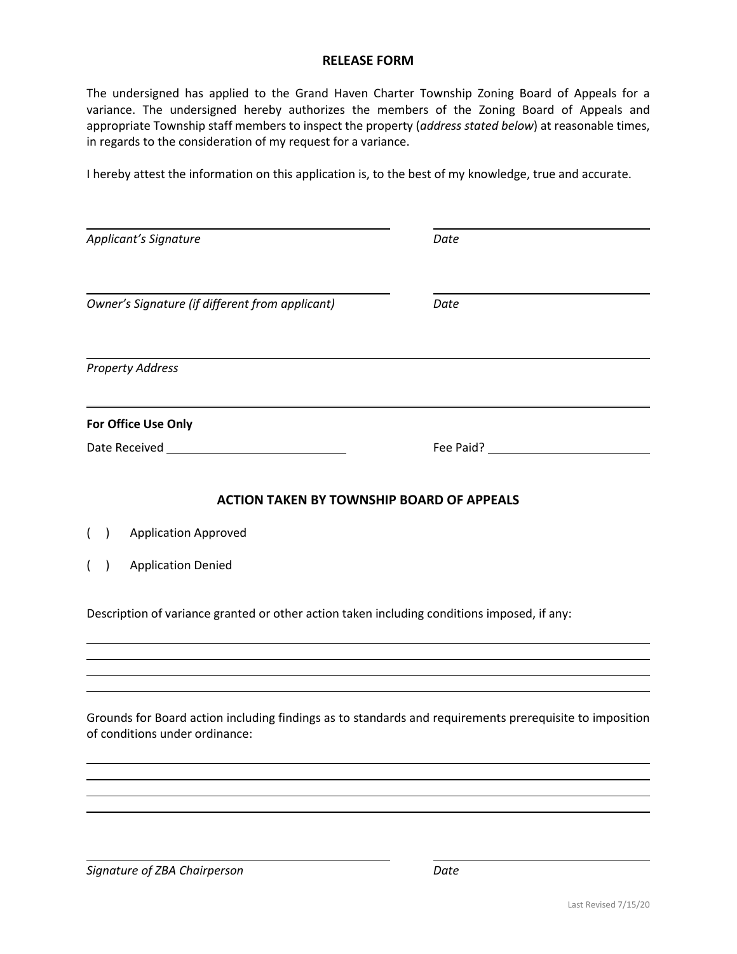## **RELEASE FORM**

The undersigned has applied to the Grand Haven Charter Township Zoning Board of Appeals for a variance. The undersigned hereby authorizes the members of the Zoning Board of Appeals and appropriate Township staff members to inspect the property (*address stated below*) at reasonable times, in regards to the consideration of my request for a variance.

I hereby attest the information on this application is, to the best of my knowledge, true and accurate.

| Applicant's Signature                                                                                                                     | Date                                             |
|-------------------------------------------------------------------------------------------------------------------------------------------|--------------------------------------------------|
| Owner's Signature (if different from applicant)                                                                                           | Date                                             |
| <b>Property Address</b>                                                                                                                   |                                                  |
| For Office Use Only                                                                                                                       |                                                  |
|                                                                                                                                           | Fee Paid? The Search of the Search Search Search |
| <b>ACTION TAKEN BY TOWNSHIP BOARD OF APPEALS</b>                                                                                          |                                                  |
| <b>Application Approved</b><br>$\overline{ }$<br>$\overline{ }$                                                                           |                                                  |
| <b>Application Denied</b><br>$\overline{)}$<br>$\overline{ }$                                                                             |                                                  |
| Description of variance granted or other action taken including conditions imposed, if any:                                               |                                                  |
|                                                                                                                                           |                                                  |
| Grounds for Board action including findings as to standards and requirements prerequisite to imposition<br>of conditions under ordinance: |                                                  |
|                                                                                                                                           |                                                  |
|                                                                                                                                           |                                                  |

*Signature of ZBA Chairperson Date*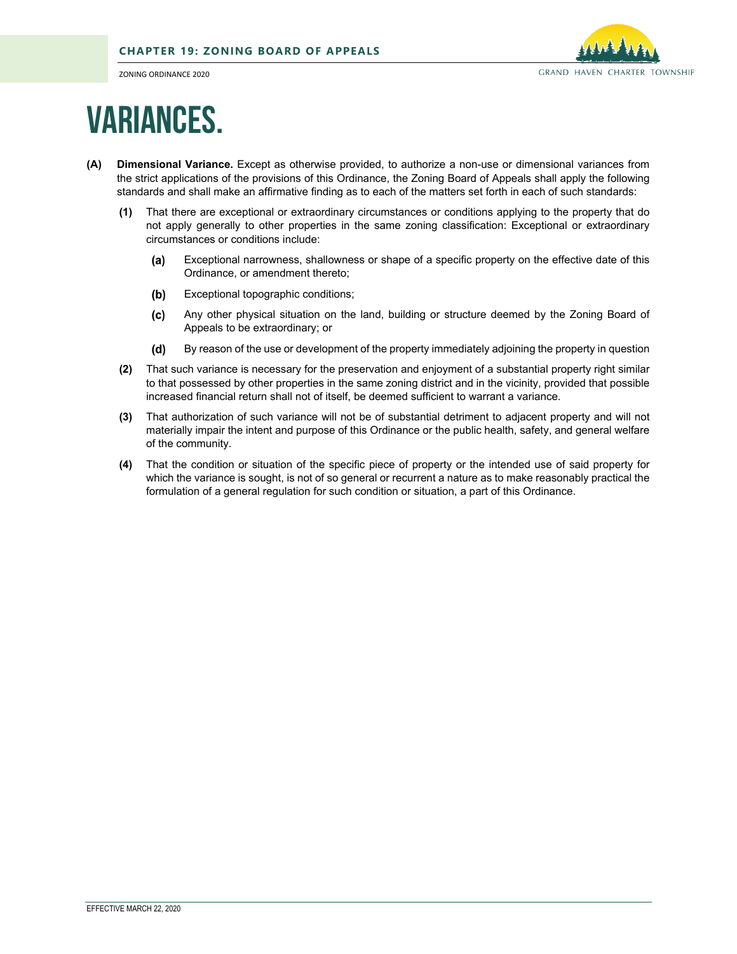ZONING ORDINANCE 2020



## Variances.

- **(A) Dimensional Variance.** Except as otherwise provided, to authorize a non-use or dimensional variances from the strict applications of the provisions of this Ordinance, the Zoning Board of Appeals shall apply the following standards and shall make an affirmative finding as to each of the matters set forth in each of such standards:
	- **(1)** That there are exceptional or extraordinary circumstances or conditions applying to the property that do not apply generally to other properties in the same zoning classification: Exceptional or extraordinary circumstances or conditions include:
		- $(a)$ Exceptional narrowness, shallowness or shape of a specific property on the effective date of this Ordinance, or amendment thereto;
		- $(b)$ Exceptional topographic conditions;
		- $(c)$ Any other physical situation on the land, building or structure deemed by the Zoning Board of Appeals to be extraordinary; or
		- By reason of the use or development of the property immediately adjoining the property in question  $(d)$
	- **(2)** That such variance is necessary for the preservation and enjoyment of a substantial property right similar to that possessed by other properties in the same zoning district and in the vicinity, provided that possible increased financial return shall not of itself, be deemed sufficient to warrant a variance.
	- **(3)** That authorization of such variance will not be of substantial detriment to adjacent property and will not materially impair the intent and purpose of this Ordinance or the public health, safety, and general welfare of the community.
	- **(4)** That the condition or situation of the specific piece of property or the intended use of said property for which the variance is sought, is not of so general or recurrent a nature as to make reasonably practical the formulation of a general regulation for such condition or situation, a part of this Ordinance.